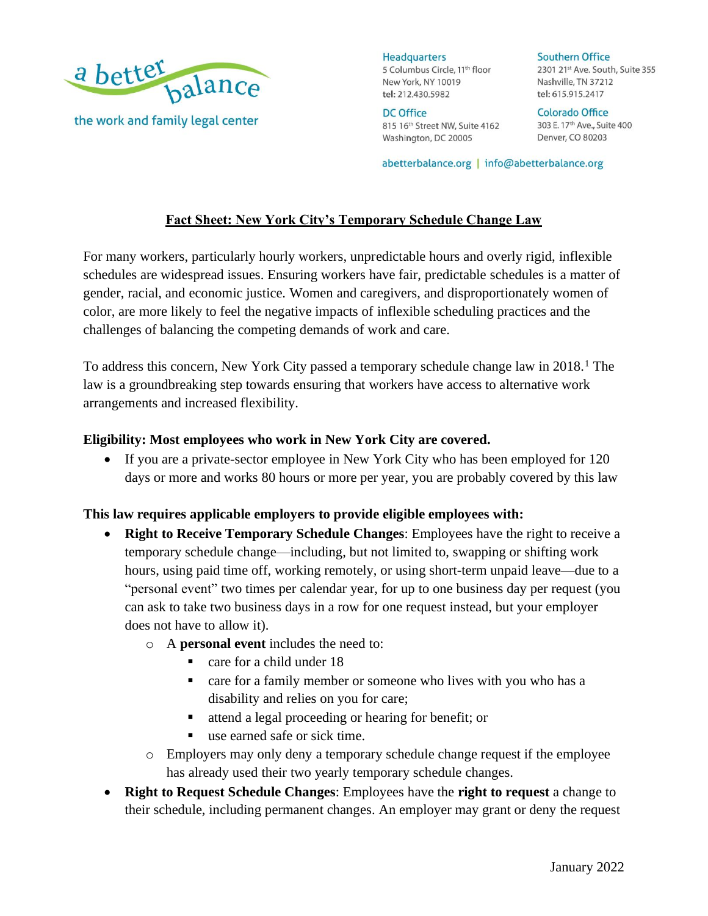

**Headquarters** 5 Columbus Circle, 11<sup>th</sup> floor New York, NY 10019 tel: 212.430.5982

**DC Office** 815 16th Street NW, Suite 4162 Washington, DC 20005

**Southern Office** 2301 21st Ave. South, Suite 355 Nashville, TN 37212 tel: 615.915.2417

**Colorado Office** 303 E. 17<sup>th</sup> Ave., Suite 400 Denver, CO 80203

abetterbalance.org | info@abetterbalance.org

# **Fact Sheet: New York City's Temporary Schedule Change Law**

For many workers, particularly hourly workers, unpredictable hours and overly rigid, inflexible schedules are widespread issues. Ensuring workers have fair, predictable schedules is a matter of gender, racial, and economic justice. Women and caregivers, and disproportionately women of color, are more likely to feel the negative impacts of inflexible scheduling practices and the challenges of balancing the competing demands of work and care.

To address this concern, New York City passed a temporary schedule change law in 2018.<sup>1</sup> The law is a groundbreaking step towards ensuring that workers have access to alternative work arrangements and increased flexibility.

### **Eligibility: Most employees who work in New York City are covered.**

• If you are a private-sector employee in New York City who has been employed for 120 days or more and works 80 hours or more per year, you are probably covered by this law

#### **This law requires applicable employers to provide eligible employees with:**

- **Right to Receive Temporary Schedule Changes**: Employees have the right to receive a temporary schedule change—including, but not limited to, swapping or shifting work hours, using paid time off, working remotely, or using short-term unpaid leave—due to a "personal event" two times per calendar year, for up to one business day per request (you can ask to take two business days in a row for one request instead, but your employer does not have to allow it).
	- o A **personal event** includes the need to:
		- care for a child under 18
		- care for a family member or someone who lives with you who has a disability and relies on you for care;
		- attend a legal proceeding or hearing for benefit; or
		- use earned safe or sick time.
	- o Employers may only deny a temporary schedule change request if the employee has already used their two yearly temporary schedule changes.
- **Right to Request Schedule Changes**: Employees have the **right to request** a change to their schedule, including permanent changes. An employer may grant or deny the request